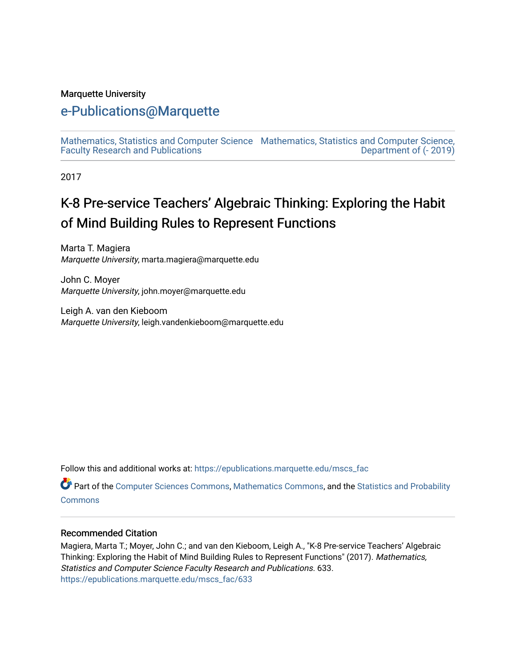#### Marquette University

# [e-Publications@Marquette](https://epublications.marquette.edu/)

[Mathematics, Statistics and Computer Science](https://epublications.marquette.edu/mscs_fac) [Mathematics, Statistics and Computer Science,](https://epublications.marquette.edu/mscs)  [Faculty Research and Publications](https://epublications.marquette.edu/mscs_fac)  [Department of \(- 2019\)](https://epublications.marquette.edu/mscs) 

2017

# K-8 Pre-service Teachers' Algebraic Thinking: Exploring the Habit of Mind Building Rules to Represent Functions

Marta T. Magiera Marquette University, marta.magiera@marquette.edu

John C. Moyer Marquette University, john.moyer@marquette.edu

Leigh A. van den Kieboom Marquette University, leigh.vandenkieboom@marquette.edu

Follow this and additional works at: [https://epublications.marquette.edu/mscs\\_fac](https://epublications.marquette.edu/mscs_fac?utm_source=epublications.marquette.edu%2Fmscs_fac%2F633&utm_medium=PDF&utm_campaign=PDFCoverPages) 

**Part of the [Computer Sciences Commons](http://network.bepress.com/hgg/discipline/142?utm_source=epublications.marquette.edu%2Fmscs_fac%2F633&utm_medium=PDF&utm_campaign=PDFCoverPages), [Mathematics Commons](http://network.bepress.com/hgg/discipline/174?utm_source=epublications.marquette.edu%2Fmscs_fac%2F633&utm_medium=PDF&utm_campaign=PDFCoverPages), and the [Statistics and Probability](http://network.bepress.com/hgg/discipline/208?utm_source=epublications.marquette.edu%2Fmscs_fac%2F633&utm_medium=PDF&utm_campaign=PDFCoverPages)** [Commons](http://network.bepress.com/hgg/discipline/208?utm_source=epublications.marquette.edu%2Fmscs_fac%2F633&utm_medium=PDF&utm_campaign=PDFCoverPages)

#### Recommended Citation

Magiera, Marta T.; Moyer, John C.; and van den Kieboom, Leigh A., "K-8 Pre-service Teachers' Algebraic Thinking: Exploring the Habit of Mind Building Rules to Represent Functions" (2017). Mathematics, Statistics and Computer Science Faculty Research and Publications. 633. [https://epublications.marquette.edu/mscs\\_fac/633](https://epublications.marquette.edu/mscs_fac/633?utm_source=epublications.marquette.edu%2Fmscs_fac%2F633&utm_medium=PDF&utm_campaign=PDFCoverPages)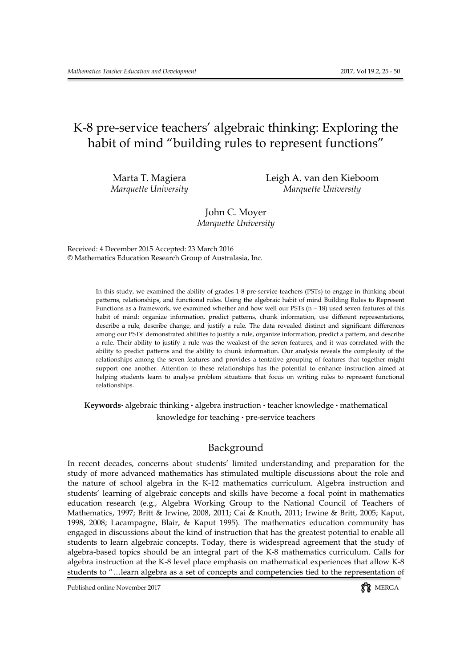# K-8 pre-service teachers' algebraic thinking: Exploring the habit of mind "building rules to represent functions"

Marta T. Magiera Leigh A. van den Kieboom *Marquette University Marquette University*

> John C. Moyer *Marquette University*

Received: 4 December 2015 Accepted: 23 March 2016 © Mathematics Education Research Group of Australasia, Inc.

> In this study, we examined the ability of grades 1-8 pre-service teachers (PSTs) to engage in thinking about patterns, relationships, and functional rules. Using the algebraic habit of mind Building Rules to Represent Functions as a framework, we examined whether and how well our PSTs (n = 18) used seven features of this habit of mind: organize information, predict patterns, chunk information, use different representations, describe a rule, describe change, and justify a rule. The data revealed distinct and significant differences among our PSTs' demonstrated abilities to justify a rule, organize information, predict a pattern, and describe a rule. Their ability to justify a rule was the weakest of the seven features, and it was correlated with the ability to predict patterns and the ability to chunk information. Our analysis reveals the complexity of the relationships among the seven features and provides a tentative grouping of features that together might support one another. Attention to these relationships has the potential to enhance instruction aimed at helping students learn to analyse problem situations that focus on writing rules to represent functional relationships.

**Keywords.** algebraic thinking **.** algebra instruction **.** teacher knowledge **.** mathematical knowledge for teaching **.** pre-service teachers

#### Background

In recent decades, concerns about students' limited understanding and preparation for the study of more advanced mathematics has stimulated multiple discussions about the role and the nature of school algebra in the K-12 mathematics curriculum. Algebra instruction and students' learning of algebraic concepts and skills have become a focal point in mathematics education research (e.g., Algebra Working Group to the National Council of Teachers of Mathematics, 1997; Britt & Irwine, 2008, 2011; Cai & Knuth, 2011; Irwine & Britt, 2005; Kaput, 1998, 2008; Lacampagne, Blair, & Kaput 1995). The mathematics education community has engaged in discussions about the kind of instruction that has the greatest potential to enable all students to learn algebraic concepts. Today, there is widespread agreement that the study of algebra-based topics should be an integral part of the K-8 mathematics curriculum. Calls for algebra instruction at the K-8 level place emphasis on mathematical experiences that allow K-8 students to "…learn algebra as a set of concepts and competencies tied to the representation of

Published online November 2017 and the state of the state of the SN and SN and SN and SN and SN and SN and SN and SN and SN and SN and SN and SN and SN and SN and SN and SN and SN and SN and SN and SN and SN and SN and SN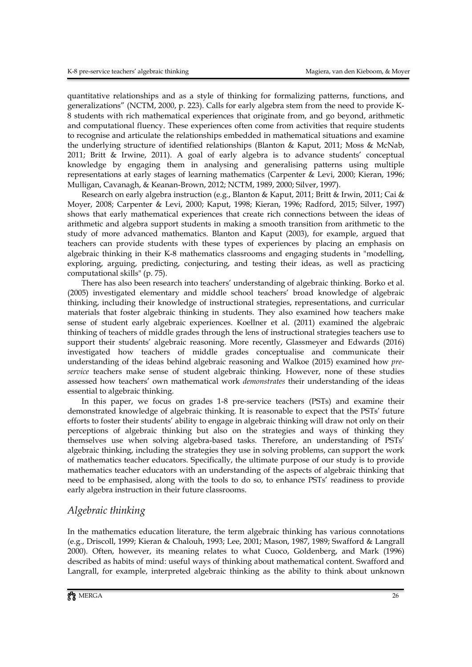quantitative relationships and as a style of thinking for formalizing patterns, functions, and generalizations" (NCTM, 2000, p. 223). Calls for early algebra stem from the need to provide K-8 students with rich mathematical experiences that originate from, and go beyond, arithmetic and computational fluency. These experiences often come from activities that require students to recognise and articulate the relationships embedded in mathematical situations and examine the underlying structure of identified relationships (Blanton & Kaput, 2011; Moss & McNab, 2011; Britt & Irwine, 2011). A goal of early algebra is to advance students' conceptual knowledge by engaging them in analysing and generalising patterns using multiple representations at early stages of learning mathematics (Carpenter & Levi, 2000; Kieran, 1996; Mulligan, Cavanagh, & Keanan-Brown, 2012; NCTM, 1989, 2000; Silver, 1997).

Research on early algebra instruction (e.g., Blanton & Kaput, 2011; Britt & Irwin, 2011; Cai & Moyer, 2008; Carpenter & Levi, 2000; Kaput, 1998; Kieran, 1996; Radford, 2015; Silver, 1997) shows that early mathematical experiences that create rich connections between the ideas of arithmetic and algebra support students in making a smooth transition from arithmetic to the study of more advanced mathematics. Blanton and Kaput (2003), for example, argued that teachers can provide students with these types of experiences by placing an emphasis on algebraic thinking in their K-8 mathematics classrooms and engaging students in "modelling, exploring, arguing, predicting, conjecturing, and testing their ideas, as well as practicing computational skills" (p. 75).

There has also been research into teachers' understanding of algebraic thinking. Borko et al. (2005) investigated elementary and middle school teachers' broad knowledge of algebraic thinking, including their knowledge of instructional strategies, representations, and curricular materials that foster algebraic thinking in students. They also examined how teachers make sense of student early algebraic experiences. Koellner et al. (2011) examined the algebraic thinking of teachers of middle grades through the lens of instructional strategies teachers use to support their students' algebraic reasoning. More recently, Glassmeyer and Edwards (2016) investigated how teachers of middle grades conceptualise and communicate their understanding of the ideas behind algebraic reasoning and Walkoe (2015) examined how *preservice* teachers make sense of student algebraic thinking. However, none of these studies assessed how teachers' own mathematical work *demonstrates* their understanding of the ideas essential to algebraic thinking.

In this paper, we focus on grades 1-8 pre-service teachers (PSTs) and examine their demonstrated knowledge of algebraic thinking. It is reasonable to expect that the PSTs' future efforts to foster their students' ability to engage in algebraic thinking will draw not only on their perceptions of algebraic thinking but also on the strategies and ways of thinking they themselves use when solving algebra-based tasks. Therefore, an understanding of PSTs' algebraic thinking, including the strategies they use in solving problems, can support the work of mathematics teacher educators. Specifically, the ultimate purpose of our study is to provide mathematics teacher educators with an understanding of the aspects of algebraic thinking that need to be emphasised, along with the tools to do so, to enhance PSTs' readiness to provide early algebra instruction in their future classrooms.

## *Algebraic thinking*

In the mathematics education literature, the term algebraic thinking has various connotations (e.g., Driscoll, 1999; Kieran & Chalouh, 1993; Lee, 2001; Mason, 1987, 1989; Swafford & Langrall 2000). Often, however, its meaning relates to what Cuoco, Goldenberg, and Mark (1996) described as habits of mind: useful ways of thinking about mathematical content. Swafford and Langrall, for example, interpreted algebraic thinking as the ability to think about unknown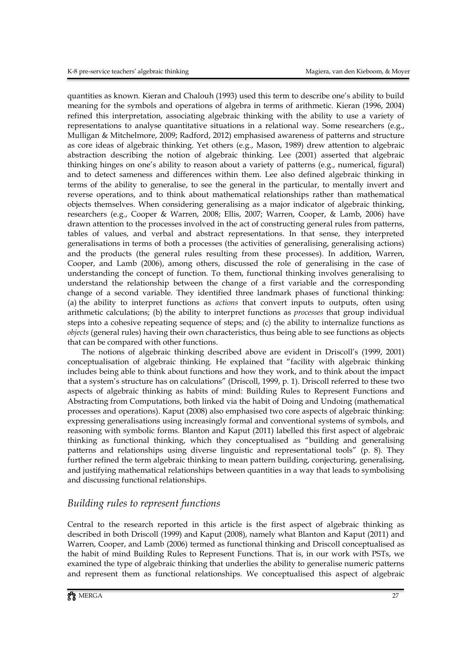quantities as known. Kieran and Chalouh (1993) used this term to describe one's ability to build meaning for the symbols and operations of algebra in terms of arithmetic. Kieran (1996, 2004) refined this interpretation, associating algebraic thinking with the ability to use a variety of representations to analyse quantitative situations in a relational way. Some researchers (e.g., Mulligan & Mitchelmore, 2009; Radford, 2012) emphasised awareness of patterns and structure as core ideas of algebraic thinking. Yet others (e.g., Mason, 1989) drew attention to algebraic abstraction describing the notion of algebraic thinking. Lee (2001) asserted that algebraic thinking hinges on one's ability to reason about a variety of patterns (e.g., numerical, figural) and to detect sameness and differences within them. Lee also defined algebraic thinking in terms of the ability to generalise, to see the general in the particular, to mentally invert and reverse operations, and to think about mathematical relationships rather than mathematical objects themselves. When considering generalising as a major indicator of algebraic thinking, researchers (e.g., Cooper & Warren, 2008; Ellis, 2007; Warren, Cooper, & Lamb, 2006) have drawn attention to the processes involved in the act of constructing general rules from patterns, tables of values, and verbal and abstract representations. In that sense, they interpreted generalisations in terms of both a processes (the activities of generalising, generalising actions) and the products (the general rules resulting from these processes). In addition, Warren, Cooper, and Lamb (2006), among others, discussed the role of generalising in the case of understanding the concept of function. To them, functional thinking involves generalising to understand the relationship between the change of a first variable and the corresponding change of a second variable. They identified three landmark phases of functional thinking: (a) the ability to interpret functions as *actions* that convert inputs to outputs, often using arithmetic calculations; (b) the ability to interpret functions as *processes* that group individual steps into a cohesive repeating sequence of steps; and (c) the ability to internalize functions as *objects* (general rules) having their own characteristics, thus being able to see functions as objects that can be compared with other functions.

The notions of algebraic thinking described above are evident in Driscoll's (1999, 2001) conceptualisation of algebraic thinking. He explained that "facility with algebraic thinking includes being able to think about functions and how they work, and to think about the impact that a system's structure has on calculations" (Driscoll, 1999, p. 1). Driscoll referred to these two aspects of algebraic thinking as habits of mind: Building Rules to Represent Functions and Abstracting from Computations, both linked via the habit of Doing and Undoing (mathematical processes and operations). Kaput (2008) also emphasised two core aspects of algebraic thinking: expressing generalisations using increasingly formal and conventional systems of symbols, and reasoning with symbolic forms. Blanton and Kaput (2011) labelled this first aspect of algebraic thinking as functional thinking, which they conceptualised as "building and generalising patterns and relationships using diverse linguistic and representational tools" (p. 8). They further refined the term algebraic thinking to mean pattern building, conjecturing, generalising, and justifying mathematical relationships between quantities in a way that leads to symbolising and discussing functional relationships.

### *Building rules to represent functions*

Central to the research reported in this article is the first aspect of algebraic thinking as described in both Driscoll (1999) and Kaput (2008), namely what Blanton and Kaput (2011) and Warren, Cooper, and Lamb (2006) termed as functional thinking and Driscoll conceptualised as the habit of mind Building Rules to Represent Functions. That is, in our work with PSTs, we examined the type of algebraic thinking that underlies the ability to generalise numeric patterns and represent them as functional relationships. We conceptualised this aspect of algebraic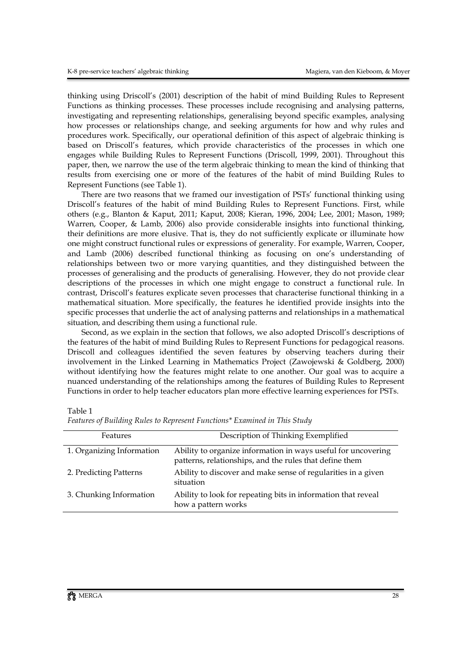thinking using Driscoll's (2001) description of the habit of mind Building Rules to Represent Functions as thinking processes. These processes include recognising and analysing patterns, investigating and representing relationships, generalising beyond specific examples, analysing how processes or relationships change, and seeking arguments for how and why rules and procedures work. Specifically, our operational definition of this aspect of algebraic thinking is based on Driscoll's features, which provide characteristics of the processes in which one engages while Building Rules to Represent Functions (Driscoll, 1999, 2001). Throughout this paper, then, we narrow the use of the term algebraic thinking to mean the kind of thinking that results from exercising one or more of the features of the habit of mind Building Rules to Represent Functions (see Table 1).

There are two reasons that we framed our investigation of PSTs' functional thinking using Driscoll's features of the habit of mind Building Rules to Represent Functions. First, while others (e.g., Blanton & Kaput, 2011; Kaput, 2008; Kieran, 1996, 2004; Lee, 2001; Mason, 1989; Warren, Cooper, & Lamb, 2006) also provide considerable insights into functional thinking, their definitions are more elusive. That is, they do not sufficiently explicate or illuminate how one might construct functional rules or expressions of generality. For example, Warren, Cooper, and Lamb (2006) described functional thinking as focusing on one's understanding of relationships between two or more varying quantities, and they distinguished between the processes of generalising and the products of generalising. However, they do not provide clear descriptions of the processes in which one might engage to construct a functional rule. In contrast, Driscoll's features explicate seven processes that characterise functional thinking in a mathematical situation. More specifically, the features he identified provide insights into the specific processes that underlie the act of analysing patterns and relationships in a mathematical situation, and describing them using a functional rule.

Second, as we explain in the section that follows, we also adopted Driscoll's descriptions of the features of the habit of mind Building Rules to Represent Functions for pedagogical reasons. Driscoll and colleagues identified the seven features by observing teachers during their involvement in the Linked Learning in Mathematics Project (Zawojewski & Goldberg, 2000) without identifying how the features might relate to one another. Our goal was to acquire a nuanced understanding of the relationships among the features of Building Rules to Represent Functions in order to help teacher educators plan more effective learning experiences for PSTs.

Table 1

| Features                  | Description of Thinking Exemplified                                                                                      |
|---------------------------|--------------------------------------------------------------------------------------------------------------------------|
| 1. Organizing Information | Ability to organize information in ways useful for uncovering<br>patterns, relationships, and the rules that define them |
| 2. Predicting Patterns    | Ability to discover and make sense of regularities in a given<br>situation                                               |
| 3. Chunking Information   | Ability to look for repeating bits in information that reveal<br>how a pattern works                                     |

*Features of Building Rules to Represent Functions\* Examined in This Study*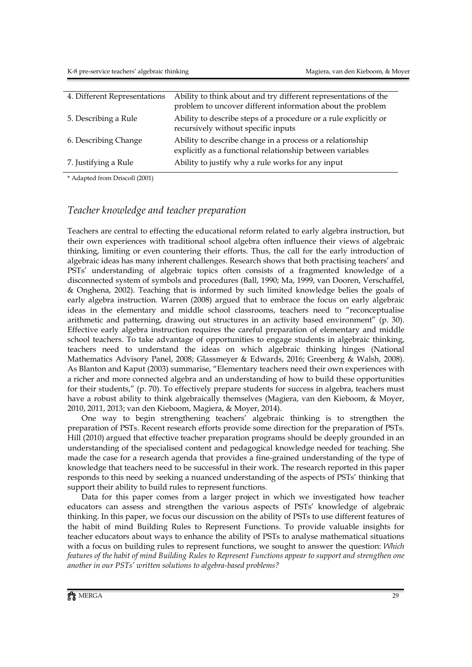| 4. Different Representations | Ability to think about and try different representations of the                                                        |
|------------------------------|------------------------------------------------------------------------------------------------------------------------|
|                              | problem to uncover different information about the problem                                                             |
| 5. Describing a Rule         | Ability to describe steps of a procedure or a rule explicitly or<br>recursively without specific inputs                |
| 6. Describing Change         | Ability to describe change in a process or a relationship<br>explicitly as a functional relationship between variables |
| 7. Justifying a Rule         | Ability to justify why a rule works for any input                                                                      |

\* Adapted from Driscoll (2001)

### *Teacher knowledge and teacher preparation*

Teachers are central to effecting the educational reform related to early algebra instruction, but their own experiences with traditional school algebra often influence their views of algebraic thinking, limiting or even countering their efforts. Thus, the call for the early introduction of algebraic ideas has many inherent challenges. Research shows that both practising teachers' and PSTs' understanding of algebraic topics often consists of a fragmented knowledge of a disconnected system of symbols and procedures (Ball, 1990; Ma, 1999, van Dooren, Verschaffel, & Onghena, 2002). Teaching that is informed by such limited knowledge belies the goals of early algebra instruction. Warren (2008) argued that to embrace the focus on early algebraic ideas in the elementary and middle school classrooms, teachers need to "reconceptualise arithmetic and patterning, drawing out structures in an activity based environment" (p. 30). Effective early algebra instruction requires the careful preparation of elementary and middle school teachers. To take advantage of opportunities to engage students in algebraic thinking, teachers need to understand the ideas on which algebraic thinking hinges (National Mathematics Advisory Panel, 2008; Glassmeyer & Edwards, 2016; Greenberg & Walsh, 2008). As Blanton and Kaput (2003) summarise, "Elementary teachers need their own experiences with a richer and more connected algebra and an understanding of how to build these opportunities for their students," (p. 70). To effectively prepare students for success in algebra, teachers must have a robust ability to think algebraically themselves (Magiera, van den Kieboom, & Moyer, 2010, 2011, 2013; van den Kieboom, Magiera, & Moyer, 2014).

One way to begin strengthening teachers' algebraic thinking is to strengthen the preparation of PSTs. Recent research efforts provide some direction for the preparation of PSTs. Hill (2010) argued that effective teacher preparation programs should be deeply grounded in an understanding of the specialised content and pedagogical knowledge needed for teaching. She made the case for a research agenda that provides a fine-grained understanding of the type of knowledge that teachers need to be successful in their work. The research reported in this paper responds to this need by seeking a nuanced understanding of the aspects of PSTs' thinking that support their ability to build rules to represent functions.

Data for this paper comes from a larger project in which we investigated how teacher educators can assess and strengthen the various aspects of PSTs' knowledge of algebraic thinking. In this paper, we focus our discussion on the ability of PSTs to use different features of the habit of mind Building Rules to Represent Functions. To provide valuable insights for teacher educators about ways to enhance the ability of PSTs to analyse mathematical situations with a focus on building rules to represent functions, we sought to answer the question: *Which features of the habit of mind Building Rules to Represent Functions appear to support and strengthen one another in our PSTs' written solutions to algebra-based problems?*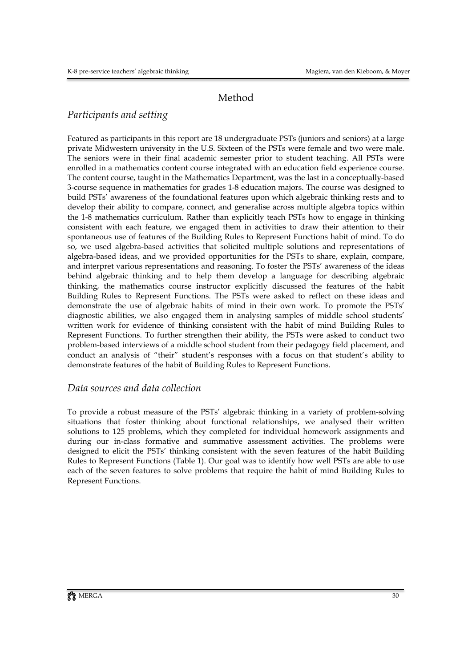# Method

## *Participants and setting*

Featured as participants in this report are 18 undergraduate PSTs (juniors and seniors) at a large private Midwestern university in the U.S. Sixteen of the PSTs were female and two were male. The seniors were in their final academic semester prior to student teaching. All PSTs were enrolled in a mathematics content course integrated with an education field experience course. The content course, taught in the Mathematics Department, was the last in a conceptually-based 3-course sequence in mathematics for grades 1-8 education majors. The course was designed to build PSTs' awareness of the foundational features upon which algebraic thinking rests and to develop their ability to compare, connect, and generalise across multiple algebra topics within the 1-8 mathematics curriculum. Rather than explicitly teach PSTs how to engage in thinking consistent with each feature, we engaged them in activities to draw their attention to their spontaneous use of features of the Building Rules to Represent Functions habit of mind. To do so, we used algebra-based activities that solicited multiple solutions and representations of algebra-based ideas, and we provided opportunities for the PSTs to share, explain, compare, and interpret various representations and reasoning. To foster the PSTs' awareness of the ideas behind algebraic thinking and to help them develop a language for describing algebraic thinking, the mathematics course instructor explicitly discussed the features of the habit Building Rules to Represent Functions. The PSTs were asked to reflect on these ideas and demonstrate the use of algebraic habits of mind in their own work. To promote the PSTs' diagnostic abilities, we also engaged them in analysing samples of middle school students' written work for evidence of thinking consistent with the habit of mind Building Rules to Represent Functions. To further strengthen their ability, the PSTs were asked to conduct two problem-based interviews of a middle school student from their pedagogy field placement, and conduct an analysis of "their" student's responses with a focus on that student's ability to demonstrate features of the habit of Building Rules to Represent Functions.

### *Data sources and data collection*

To provide a robust measure of the PSTs' algebraic thinking in a variety of problem-solving situations that foster thinking about functional relationships, we analysed their written solutions to 125 problems, which they completed for individual homework assignments and during our in-class formative and summative assessment activities. The problems were designed to elicit the PSTs' thinking consistent with the seven features of the habit Building Rules to Represent Functions (Table 1). Our goal was to identify how well PSTs are able to use each of the seven features to solve problems that require the habit of mind Building Rules to Represent Functions.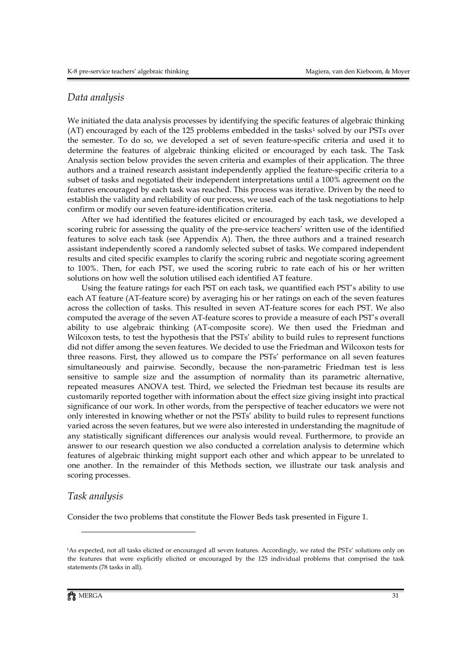#### *Data analysis*

We initiated the data analysis processes by identifying the specific features of algebraic thinking  $(AT)$  encouraged by each of the [1](#page-7-0)25 problems embedded in the tasks<sup>1</sup> solved by our PSTs over the semester. To do so, we developed a set of seven feature-specific criteria and used it to determine the features of algebraic thinking elicited or encouraged by each task. The Task Analysis section below provides the seven criteria and examples of their application. The three authors and a trained research assistant independently applied the feature-specific criteria to a subset of tasks and negotiated their independent interpretations until a 100% agreement on the features encouraged by each task was reached. This process was iterative. Driven by the need to establish the validity and reliability of our process, we used each of the task negotiations to help confirm or modify our seven feature-identification criteria.

After we had identified the features elicited or encouraged by each task, we developed a scoring rubric for assessing the quality of the pre-service teachers' written use of the identified features to solve each task (see Appendix A). Then, the three authors and a trained research assistant independently scored a randomly selected subset of tasks. We compared independent results and cited specific examples to clarify the scoring rubric and negotiate scoring agreement to 100%. Then, for each PST, we used the scoring rubric to rate each of his or her written solutions on how well the solution utilised each identified AT feature.

Using the feature ratings for each PST on each task, we quantified each PST's ability to use each AT feature (AT-feature score) by averaging his or her ratings on each of the seven features across the collection of tasks. This resulted in seven AT-feature scores for each PST. We also computed the average of the seven AT-feature scores to provide a measure of each PST's overall ability to use algebraic thinking (AT-composite score). We then used the Friedman and Wilcoxon tests, to test the hypothesis that the PSTs' ability to build rules to represent functions did not differ among the seven features. We decided to use the Friedman and Wilcoxon tests for three reasons. First, they allowed us to compare the PSTs' performance on all seven features simultaneously and pairwise. Secondly, because the non-parametric Friedman test is less sensitive to sample size and the assumption of normality than its parametric alternative, repeated measures ANOVA test. Third, we selected the Friedman test because its results are customarily reported together with information about the effect size giving insight into practical significance of our work. In other words, from the perspective of teacher educators we were not only interested in knowing whether or not the PSTs' ability to build rules to represent functions varied across the seven features, but we were also interested in understanding the magnitude of any statistically significant differences our analysis would reveal. Furthermore, to provide an answer to our research question we also conducted a correlation analysis to determine which features of algebraic thinking might support each other and which appear to be unrelated to one another. In the remainder of this Methods section, we illustrate our task analysis and scoring processes.

#### *Task analysis*

Consider the two problems that constitute the Flower Beds task presented in Figure 1.

 $\overline{a}$ 

<span id="page-7-0"></span><sup>1</sup>As expected, not all tasks elicited or encouraged all seven features. Accordingly, we rated the PSTs' solutions only on the features that were explicitly elicited or encouraged by the 125 individual problems that comprised the task statements (78 tasks in all).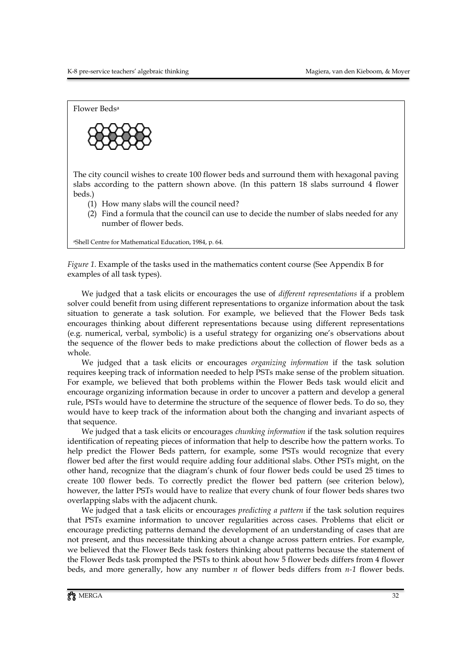Flower Bedsa



The city council wishes to create 100 flower beds and surround them with hexagonal paving slabs according to the pattern shown above. (In this pattern 18 slabs surround 4 flower beds.)

- (1) How many slabs will the council need?
- (2) Find a formula that the council can use to decide the number of slabs needed for any number of flower beds.

aShell Centre for Mathematical Education, 1984, p. 64.

*Figure 1.* Example of the tasks used in the mathematics content course (See Appendix B for examples of all task types).

We judged that a task elicits or encourages the use of *different representations* if a problem solver could benefit from using different representations to organize information about the task situation to generate a task solution. For example, we believed that the Flower Beds task encourages thinking about different representations because using different representations (e.g. numerical, verbal, symbolic) is a useful strategy for organizing one's observations about the sequence of the flower beds to make predictions about the collection of flower beds as a whole.

We judged that a task elicits or encourages *organizing information* if the task solution requires keeping track of information needed to help PSTs make sense of the problem situation. For example, we believed that both problems within the Flower Beds task would elicit and encourage organizing information because in order to uncover a pattern and develop a general rule, PSTs would have to determine the structure of the sequence of flower beds. To do so, they would have to keep track of the information about both the changing and invariant aspects of that sequence.

We judged that a task elicits or encourages *chunking information* if the task solution requires identification of repeating pieces of information that help to describe how the pattern works. To help predict the Flower Beds pattern, for example, some PSTs would recognize that every flower bed after the first would require adding four additional slabs. Other PSTs might, on the other hand, recognize that the diagram's chunk of four flower beds could be used 25 times to create 100 flower beds. To correctly predict the flower bed pattern (see criterion below), however, the latter PSTs would have to realize that every chunk of four flower beds shares two overlapping slabs with the adjacent chunk.

We judged that a task elicits or encourages *predicting a pattern* if the task solution requires that PSTs examine information to uncover regularities across cases. Problems that elicit or encourage predicting patterns demand the development of an understanding of cases that are not present, and thus necessitate thinking about a change across pattern entries. For example, we believed that the Flower Beds task fosters thinking about patterns because the statement of the Flower Beds task prompted the PSTs to think about how 5 flower beds differs from 4 flower beds, and more generally, how any number *n* of flower beds differs from *n-1* flower beds.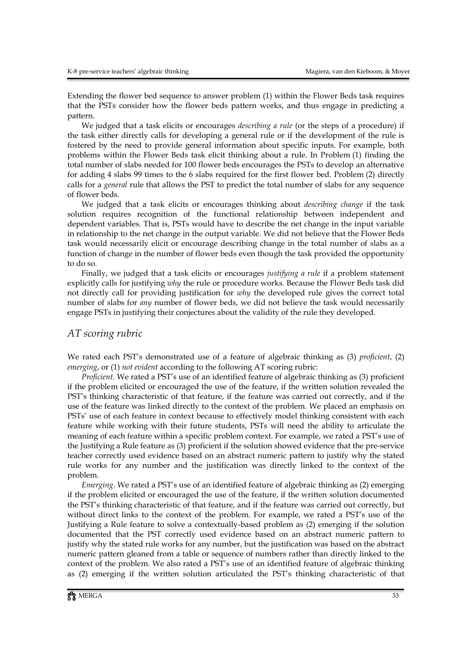Extending the flower bed sequence to answer problem (1) within the Flower Beds task requires that the PSTs consider how the flower beds pattern works, and thus engage in predicting a pattern.

We judged that a task elicits or encourages *describing a rule* (or the steps of a procedure) if the task either directly calls for developing a general rule or if the development of the rule is fostered by the need to provide general information about specific inputs. For example, both problems within the Flower Beds task elicit thinking about a rule. In Problem (1) finding the total number of slabs needed for 100 flower beds encourages the PSTs to develop an alternative for adding 4 slabs 99 times to the 6 slabs required for the first flower bed. Problem (2) directly calls for a *general* rule that allows the PST to predict the total number of slabs for any sequence of flower beds.

We judged that a task elicits or encourages thinking about *describing change* if the task solution requires recognition of the functional relationship between independent and dependent variables. That is, PSTs would have to describe the net change in the input variable in relationship to the net change in the output variable. We did not believe that the Flower Beds task would necessarily elicit or encourage describing change in the total number of slabs as a function of change in the number of flower beds even though the task provided the opportunity to do so.

Finally, we judged that a task elicits or encourages *justifying a rule* if a problem statement explicitly calls for justifying *why* the rule or procedure works. Because the Flower Beds task did not directly call for providing justification for *why* the developed rule gives the correct total number of slabs for *any* number of flower beds, we did not believe the task would necessarily engage PSTs in justifying their conjectures about the validity of the rule they developed.

#### *AT scoring rubric*

We rated each PST's demonstrated use of a feature of algebraic thinking as (3) *proficient*, (2) *emerging*, or (1) *not evident* according to the following AT scoring rubric:

*Proficient*. We rated a PST's use of an identified feature of algebraic thinking as (3) proficient if the problem elicited or encouraged the use of the feature, if the written solution revealed the PST's thinking characteristic of that feature, if the feature was carried out correctly, and if the use of the feature was linked directly to the context of the problem. We placed an emphasis on PSTs' use of each feature in context because to effectively model thinking consistent with each feature while working with their future students, PSTs will need the ability to articulate the meaning of each feature within a specific problem context. For example, we rated a PST's use of the Justifying a Rule feature as (3) proficient if the solution showed evidence that the pre-service teacher correctly used evidence based on an abstract numeric pattern to justify why the stated rule works for any number and the justification was directly linked to the context of the problem.

*Emerging*. We rated a PST's use of an identified feature of algebraic thinking as (2) emerging if the problem elicited or encouraged the use of the feature, if the written solution documented the PST's thinking characteristic of that feature, and if the feature was carried out correctly, but without direct links to the context of the problem. For example, we rated a PST's use of the Justifying a Rule feature to solve a contextually-based problem as (2) emerging if the solution documented that the PST correctly used evidence based on an abstract numeric pattern to justify why the stated rule works for any number, but the justification was based on the abstract numeric pattern gleaned from a table or sequence of numbers rather than directly linked to the context of the problem. We also rated a PST's use of an identified feature of algebraic thinking as (2) emerging if the written solution articulated the PST's thinking characteristic of that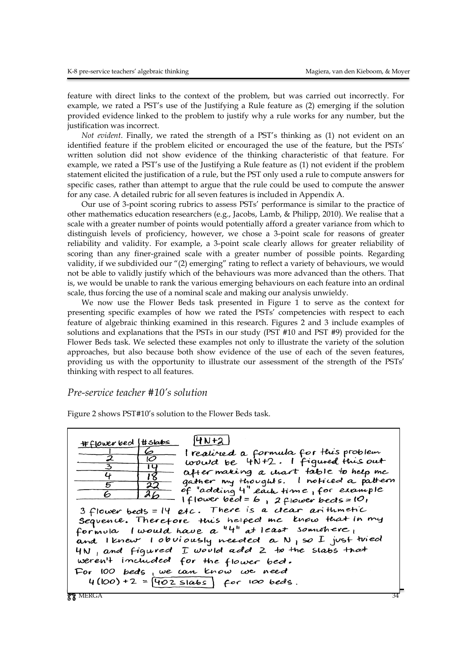feature with direct links to the context of the problem, but was carried out incorrectly. For example, we rated a PST's use of the Justifying a Rule feature as (2) emerging if the solution provided evidence linked to the problem to justify why a rule works for any number, but the justification was incorrect.

*Not evident*. Finally, we rated the strength of a PST's thinking as (1) not evident on an identified feature if the problem elicited or encouraged the use of the feature, but the PSTs' written solution did not show evidence of the thinking characteristic of that feature. For example, we rated a PST's use of the Justifying a Rule feature as (1) not evident if the problem statement elicited the justification of a rule, but the PST only used a rule to compute answers for specific cases, rather than attempt to argue that the rule could be used to compute the answer for any case. A detailed rubric for all seven features is included in Appendix A.

Our use of 3-point scoring rubrics to assess PSTs' performance is similar to the practice of other mathematics education researchers (e.g., Jacobs, Lamb, & Philipp, 2010). We realise that a scale with a greater number of points would potentially afford a greater variance from which to distinguish levels of proficiency, however, we chose a 3-point scale for reasons of greater reliability and validity. For example, a 3-point scale clearly allows for greater reliability of scoring than any finer-grained scale with a greater number of possible points. Regarding validity, if we subdivided our "(2) emerging" rating to reflect a variety of behaviours, we would not be able to validly justify which of the behaviours was more advanced than the others. That is, we would be unable to rank the various emerging behaviours on each feature into an ordinal scale, thus forcing the use of a nominal scale and making our analysis unwieldy.

We now use the Flower Beds task presented in Figure 1 to serve as the context for presenting specific examples of how we rated the PSTs' competencies with respect to each feature of algebraic thinking examined in this research. Figures 2 and 3 include examples of solutions and explanations that the PSTs in our study (PST #10 and PST #9) provided for the Flower Beds task. We selected these examples not only to illustrate the variety of the solution approaches, but also because both show evidence of the use of each of the seven features, providing us with the opportunity to illustrate our assessment of the strength of the PSTs' thinking with respect to all features.

#### *Pre-service teacher #10's solution*

Figure 2 shows PST#10's solution to the Flower Beds task.

| $4N+2$<br>#flower bed   #slabs<br>6<br>I realined a formula for this problem<br>v<br>would be 4N+2. I figured this out<br>$\overline{3}$<br>14<br>after making a chart table to help me<br>4<br>18<br>gather my thoughts. I noticed a pattern<br>22<br>of "adding 4" each time, for example<br>$a_{\boldsymbol{b}}$<br>6<br>$ f $ ower bed = b, 2flower beds = $ U $<br>3 flower bects = 14 etc. There is a clear arithmetic<br>Sequence. Therefore this helped me know that in my<br>formula I would have a "4" at least somwhere,<br>and I knew I obviously needed a N p so I just tried<br>4N, and figured I would add 2 to the slabs that<br>weren't included for the flower bed.<br>For 100 beds, we can know we need |
|----------------------------------------------------------------------------------------------------------------------------------------------------------------------------------------------------------------------------------------------------------------------------------------------------------------------------------------------------------------------------------------------------------------------------------------------------------------------------------------------------------------------------------------------------------------------------------------------------------------------------------------------------------------------------------------------------------------------------|
| $4(100) + 2 = 402$ slabs $\int$ for 100 beds.<br>YY MERGA                                                                                                                                                                                                                                                                                                                                                                                                                                                                                                                                                                                                                                                                  |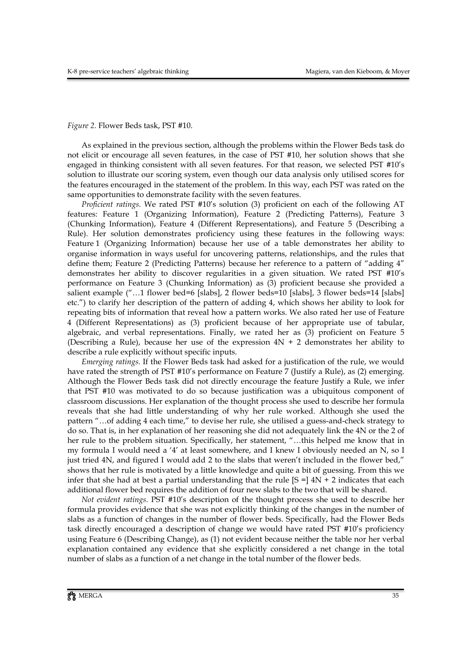*Figure 2.* Flower Beds task, PST #10.

As explained in the previous section, although the problems within the Flower Beds task do not elicit or encourage all seven features, in the case of PST #10, her solution shows that she engaged in thinking consistent with all seven features. For that reason, we selected PST #10's solution to illustrate our scoring system, even though our data analysis only utilised scores for the features encouraged in the statement of the problem. In this way, each PST was rated on the same opportunities to demonstrate facility with the seven features.

*Proficient ratings*. We rated PST #10's solution (3) proficient on each of the following AT features: Feature 1 (Organizing Information), Feature 2 (Predicting Patterns), Feature 3 (Chunking Information), Feature 4 (Different Representations), and Feature 5 (Describing a Rule). Her solution demonstrates proficiency using these features in the following ways: Feature 1 (Organizing Information) because her use of a table demonstrates her ability to organise information in ways useful for uncovering patterns, relationships, and the rules that define them; Feature 2 (Predicting Patterns) because her reference to a pattern of "adding 4" demonstrates her ability to discover regularities in a given situation. We rated PST #10's performance on Feature 3 (Chunking Information) as (3) proficient because she provided a salient example ("…1 flower bed=6 [slabs], 2 flower beds=10 [slabs], 3 flower beds=14 [slabs] etc.") to clarify her description of the pattern of adding 4, which shows her ability to look for repeating bits of information that reveal how a pattern works. We also rated her use of Feature 4 (Different Representations) as (3) proficient because of her appropriate use of tabular, algebraic, and verbal representations. Finally, we rated her as (3) proficient on Feature 5 (Describing a Rule), because her use of the expression  $4N + 2$  demonstrates her ability to describe a rule explicitly without specific inputs.

*Emerging ratings*. If the Flower Beds task had asked for a justification of the rule, we would have rated the strength of PST #10's performance on Feature 7 (Justify a Rule), as (2) emerging. Although the Flower Beds task did not directly encourage the feature Justify a Rule, we infer that PST #10 was motivated to do so because justification was a ubiquitous component of classroom discussions. Her explanation of the thought process she used to describe her formula reveals that she had little understanding of why her rule worked. Although she used the pattern "…of adding 4 each time," to devise her rule, she utilised a guess-and-check strategy to do so. That is, in her explanation of her reasoning she did not adequately link the 4N or the 2 of her rule to the problem situation. Specifically, her statement, "...this helped me know that in my formula I would need a '4' at least somewhere, and I knew I obviously needed an N, so I just tried 4N, and figured I would add 2 to the slabs that weren't included in the flower bed," shows that her rule is motivated by a little knowledge and quite a bit of guessing. From this we infer that she had at best a partial understanding that the rule  $[**S** =] 4**N** + 2$  indicates that each additional flower bed requires the addition of four new slabs to the two that will be shared.

*Not evident ratings*. PST #10's description of the thought process she used to describe her formula provides evidence that she was not explicitly thinking of the changes in the number of slabs as a function of changes in the number of flower beds. Specifically, had the Flower Beds task directly encouraged a description of change we would have rated PST #10's proficiency using Feature 6 (Describing Change), as (1) not evident because neither the table nor her verbal explanation contained any evidence that she explicitly considered a net change in the total number of slabs as a function of a net change in the total number of the flower beds.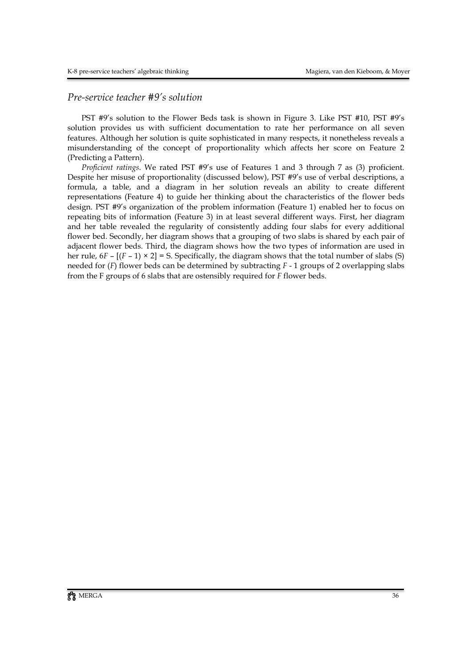#### *Pre-service teacher #9's solution*

PST #9's solution to the Flower Beds task is shown in Figure 3. Like PST #10, PST #9's solution provides us with sufficient documentation to rate her performance on all seven features. Although her solution is quite sophisticated in many respects, it nonetheless reveals a misunderstanding of the concept of proportionality which affects her score on Feature 2 (Predicting a Pattern).

*Proficient ratings*. We rated PST #9's use of Features 1 and 3 through 7 as (3) proficient. Despite her misuse of proportionality (discussed below), PST #9's use of verbal descriptions, a formula, a table, and a diagram in her solution reveals an ability to create different representations (Feature 4) to guide her thinking about the characteristics of the flower beds design. PST #9's organization of the problem information (Feature 1) enabled her to focus on repeating bits of information (Feature 3) in at least several different ways. First, her diagram and her table revealed the regularity of consistently adding four slabs for every additional flower bed. Secondly, her diagram shows that a grouping of two slabs is shared by each pair of adjacent flower beds. Third, the diagram shows how the two types of information are used in her rule,  $6F - [(F - 1) \times 2] = S$ . Specifically, the diagram shows that the total number of slabs (S) needed for (*F*) flower beds can be determined by subtracting *F* - 1 groups of 2 overlapping slabs from the F groups of 6 slabs that are ostensibly required for *F* flower beds.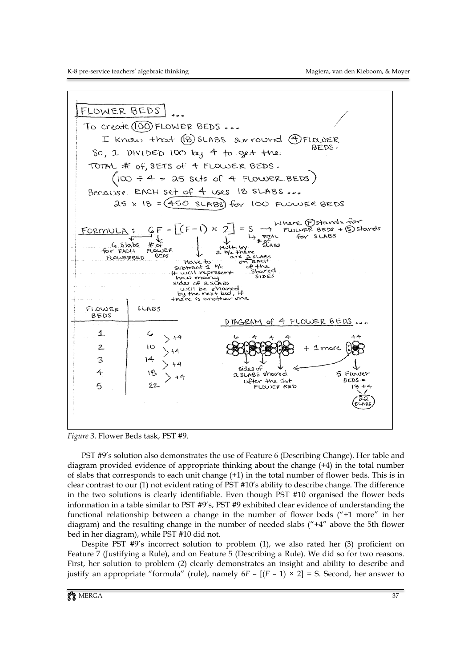

*Figure 3.* Flower Beds task, PST #9.

PST #9's solution also demonstrates the use of Feature 6 (Describing Change). Her table and diagram provided evidence of appropriate thinking about the change (+4) in the total number of slabs that corresponds to each unit change (+1) in the total number of flower beds. This is in clear contrast to our (1) not evident rating of PST #10's ability to describe change. The difference in the two solutions is clearly identifiable. Even though PST #10 organised the flower beds information in a table similar to PST #9's, PST #9 exhibited clear evidence of understanding the functional relationship between a change in the number of flower beds ("+1 more" in her diagram) and the resulting change in the number of needed slabs ("+4" above the 5th flower bed in her diagram), while PST #10 did not.

Despite PST #9's incorrect solution to problem (1), we also rated her (3) proficient on Feature 7 (Justifying a Rule), and on Feature 5 (Describing a Rule). We did so for two reasons. First, her solution to problem (2) clearly demonstrates an insight and ability to describe and justify an appropriate "formula" (rule), namely  $6F - [(F - 1) \times 2] = S$ . Second, her answer to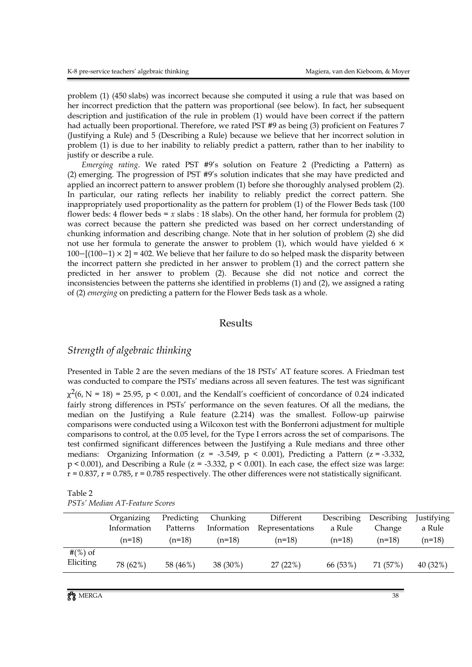problem (1) (450 slabs) was incorrect because she computed it using a rule that was based on her incorrect prediction that the pattern was proportional (see below). In fact, her subsequent description and justification of the rule in problem (1) would have been correct if the pattern had actually been proportional. Therefore, we rated PST #9 as being (3) proficient on Features 7 (Justifying a Rule) and 5 (Describing a Rule) because we believe that her incorrect solution in problem (1) is due to her inability to reliably predict a pattern, rather than to her inability to justify or describe a rule.

*Emerging rating*. We rated PST #9's solution on Feature 2 (Predicting a Pattern) as (2) emerging. The progression of PST #9's solution indicates that she may have predicted and applied an incorrect pattern to answer problem (1) before she thoroughly analysed problem (2). In particular, our rating reflects her inability to reliably predict the correct pattern. She inappropriately used proportionality as the pattern for problem (1) of the Flower Beds task (100 flower beds: 4 flower beds =  $x$  slabs : 18 slabs). On the other hand, her formula for problem (2) was correct because the pattern she predicted was based on her correct understanding of chunking information and describing change. Note that in her solution of problem (2) she did not use her formula to generate the answer to problem (1), which would have yielded 6  $\times$ 100−[(100−1) × 2] = 402. We believe that her failure to do so helped mask the disparity between the incorrect pattern she predicted in her answer to problem (1) and the correct pattern she predicted in her answer to problem (2). Because she did not notice and correct the inconsistencies between the patterns she identified in problems (1) and (2), we assigned a rating of (2) *emerging* on predicting a pattern for the Flower Beds task as a whole.

#### Results

#### *Strength of algebraic thinking*

Presented in Table 2 are the seven medians of the 18 PSTs' AT feature scores. A Friedman test was conducted to compare the PSTs' medians across all seven features. The test was significant  $\chi^2(6, N = 18) = 25.95$ , p < 0.001, and the Kendall's coefficient of concordance of 0.24 indicated fairly strong differences in PSTs' performance on the seven features. Of all the medians, the median on the Justifying a Rule feature (2.214) was the smallest. Follow-up pairwise comparisons were conducted using a Wilcoxon test with the Bonferroni adjustment for multiple comparisons to control, at the 0.05 level, for the Type I errors across the set of comparisons. The test confirmed significant differences between the Justifying a Rule medians and three other medians: Organizing Information ( $z = -3.549$ ,  $p < 0.001$ ), Predicting a Pattern ( $z = -3.332$ ,  $p < 0.001$ ), and Describing a Rule ( $z = -3.332$ ,  $p < 0.001$ ). In each case, the effect size was large:  $r = 0.837$ ,  $r = 0.785$ ,  $r = 0.785$  respectively. The other differences were not statistically significant.

| Table 2                        |  |
|--------------------------------|--|
| PSTs' Median AT-Feature Scores |  |

|             | Organizing  | Predicting | Chunking    | Different       | Describing | Describing | Justifying |
|-------------|-------------|------------|-------------|-----------------|------------|------------|------------|
|             | Information | Patterns   | Information | Representations | a Rule     | Change     | a Rule     |
|             | $(n=18)$    | $(n=18)$   | $(n=18)$    | $(n=18)$        | $(n=18)$   | $(n=18)$   | $(n=18)$   |
| # $(\%)$ of |             |            |             |                 |            |            |            |
| Eliciting   | 78 (62%)    | 58 (46%)   | 38 (30%)    | 27(22%)         | 66 (53%)   | 71 (57%)   | 40 (32%)   |
|             |             |            |             |                 |            |            |            |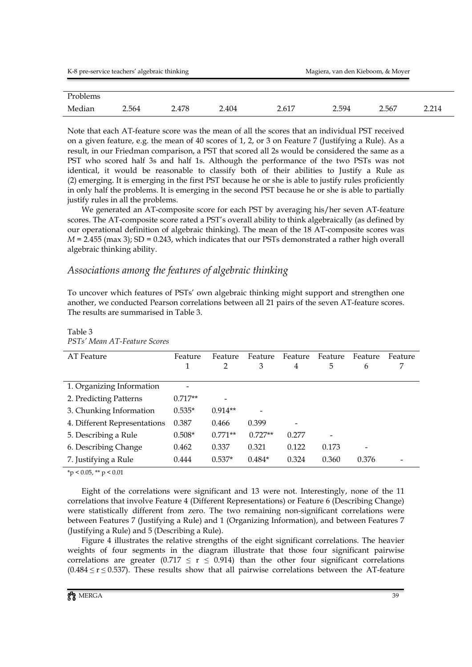| K-8 pre-service teachers' algebraic thinking |       |       |       | Magiera, van den Kieboom, & Moyer |       |       |       |
|----------------------------------------------|-------|-------|-------|-----------------------------------|-------|-------|-------|
|                                              |       |       |       |                                   |       |       |       |
| Problems                                     |       |       |       |                                   |       |       |       |
| Median                                       | 2.564 | 2.478 | 2.404 | 2.617                             | 2.594 | 2.567 | 2.214 |

Note that each AT-feature score was the mean of all the scores that an individual PST received on a given feature, e.g. the mean of 40 scores of 1, 2, or 3 on Feature 7 (Justifying a Rule). As a result, in our Friedman comparison, a PST that scored all 2s would be considered the same as a PST who scored half 3s and half 1s. Although the performance of the two PSTs was not identical, it would be reasonable to classify both of their abilities to Justify a Rule as (2) emerging. It is emerging in the first PST because he or she is able to justify rules proficiently in only half the problems. It is emerging in the second PST because he or she is able to partially justify rules in all the problems.

We generated an AT-composite score for each PST by averaging his/her seven AT-feature scores. The AT-composite score rated a PST's overall ability to think algebraically (as defined by our operational definition of algebraic thinking). The mean of the 18 AT-composite scores was  $M = 2.455$  (max 3); SD = 0.243, which indicates that our PSTs demonstrated a rather high overall algebraic thinking ability.

### *Associations among the features of algebraic thinking*

To uncover which features of PSTs' own algebraic thinking might support and strengthen one another, we conducted Pearson correlations between all 21 pairs of the seven AT-feature scores. The results are summarised in Table 3.

| AT Feature                   | Feature<br>1 | Feature<br>$\mathcal{P}$ | Feature<br>3 | Feature<br>4 | Feature<br>5 | Feature<br>6 | Feature |
|------------------------------|--------------|--------------------------|--------------|--------------|--------------|--------------|---------|
| 1. Organizing Information    |              |                          |              |              |              |              |         |
| 2. Predicting Patterns       | $0.717**$    |                          |              |              |              |              |         |
| 3. Chunking Information      | $0.535*$     | $0.914**$                |              |              |              |              |         |
| 4. Different Representations | 0.387        | 0.466                    | 0.399        |              |              |              |         |
| 5. Describing a Rule         | $0.508*$     | $0.771**$                | $0.727**$    | 0.277        | -            |              |         |
| 6. Describing Change         | 0.462        | 0.337                    | 0.321        | 0.122        | 0.173        |              |         |
| 7. Justifying a Rule         | 0.444        | $0.537*$                 | $0.484*$     | 0.324        | 0.360        | 0.376        |         |

Table 3 *PSTs' Mean AT-Feature Scores*

 $*$ p < 0.05,  $*$  $*$  p < 0.01

Eight of the correlations were significant and 13 were not. Interestingly, none of the 11 correlations that involve Feature 4 (Different Representations) or Feature 6 (Describing Change) were statistically different from zero. The two remaining non-significant correlations were between Features 7 (Justifying a Rule) and 1 (Organizing Information), and between Features 7 (Justifying a Rule) and 5 (Describing a Rule).

Figure 4 illustrates the relative strengths of the eight significant correlations. The heavier weights of four segments in the diagram illustrate that those four significant pairwise correlations are greater (0.717  $\leq$  r  $\leq$  0.914) than the other four significant correlations  $(0.484 \le r \le 0.537)$ . These results show that all pairwise correlations between the AT-feature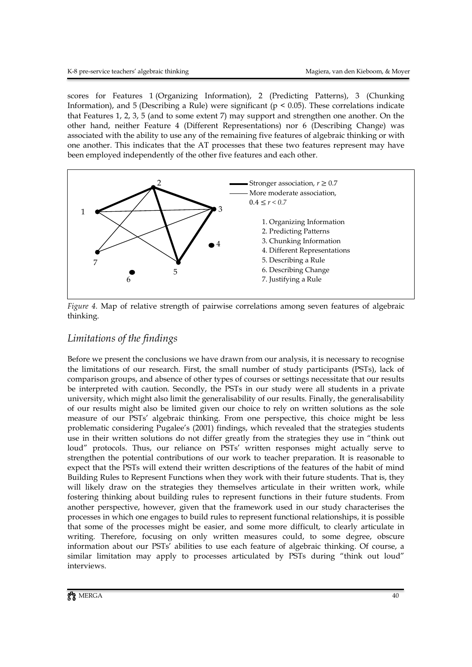scores for Features 1 (Organizing Information), 2 (Predicting Patterns), 3 (Chunking Information), and 5 (Describing a Rule) were significant ( $p < 0.05$ ). These correlations indicate that Features 1, 2, 3, 5 (and to some extent 7) may support and strengthen one another. On the other hand, neither Feature 4 (Different Representations) nor 6 (Describing Change) was associated with the ability to use any of the remaining five features of algebraic thinking or with one another. This indicates that the AT processes that these two features represent may have been employed independently of the other five features and each other.



*Figure 4.* Map of relative strength of pairwise correlations among seven features of algebraic thinking.

## *Limitations of the findings*

Before we present the conclusions we have drawn from our analysis, it is necessary to recognise the limitations of our research. First, the small number of study participants (PSTs), lack of comparison groups, and absence of other types of courses or settings necessitate that our results be interpreted with caution. Secondly, the PSTs in our study were all students in a private university, which might also limit the generalisability of our results. Finally, the generalisability of our results might also be limited given our choice to rely on written solutions as the sole measure of our PSTs' algebraic thinking. From one perspective, this choice might be less problematic considering Pugalee's (2001) findings, which revealed that the strategies students use in their written solutions do not differ greatly from the strategies they use in "think out loud" protocols. Thus, our reliance on PSTs' written responses might actually serve to strengthen the potential contributions of our work to teacher preparation. It is reasonable to expect that the PSTs will extend their written descriptions of the features of the habit of mind Building Rules to Represent Functions when they work with their future students. That is, they will likely draw on the strategies they themselves articulate in their written work, while fostering thinking about building rules to represent functions in their future students. From another perspective, however, given that the framework used in our study characterises the processes in which one engages to build rules to represent functional relationships, it is possible that some of the processes might be easier, and some more difficult, to clearly articulate in writing. Therefore, focusing on only written measures could, to some degree, obscure information about our PSTs' abilities to use each feature of algebraic thinking. Of course, a similar limitation may apply to processes articulated by PSTs during "think out loud" interviews.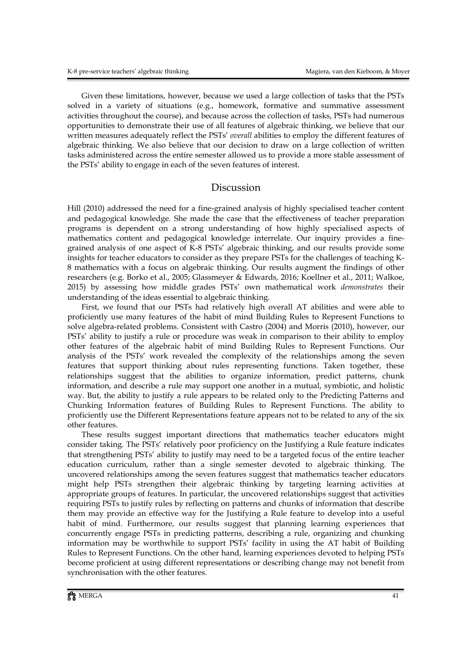Given these limitations, however, because we used a large collection of tasks that the PSTs solved in a variety of situations (e.g., homework, formative and summative assessment activities throughout the course), and because across the collection of tasks, PSTs had numerous opportunities to demonstrate their use of all features of algebraic thinking, we believe that our written measures adequately reflect the PSTs' *overall* abilities to employ the different features of algebraic thinking. We also believe that our decision to draw on a large collection of written tasks administered across the entire semester allowed us to provide a more stable assessment of the PSTs' ability to engage in each of the seven features of interest.

#### Discussion

Hill (2010) addressed the need for a fine-grained analysis of highly specialised teacher content and pedagogical knowledge. She made the case that the effectiveness of teacher preparation programs is dependent on a strong understanding of how highly specialised aspects of mathematics content and pedagogical knowledge interrelate. Our inquiry provides a finegrained analysis of one aspect of K-8 PSTs' algebraic thinking, and our results provide some insights for teacher educators to consider as they prepare PSTs for the challenges of teaching K-8 mathematics with a focus on algebraic thinking. Our results augment the findings of other researchers (e.g. Borko et al., 2005; Glassmeyer & Edwards, 2016; Koellner et al., 2011; Walkoe, 2015) by assessing how middle grades PSTs' own mathematical work *demonstrates* their understanding of the ideas essential to algebraic thinking.

First, we found that our PSTs had relatively high overall AT abilities and were able to proficiently use many features of the habit of mind Building Rules to Represent Functions to solve algebra-related problems. Consistent with Castro (2004) and Morris (2010), however, our PSTs' ability to justify a rule or procedure was weak in comparison to their ability to employ other features of the algebraic habit of mind Building Rules to Represent Functions. Our analysis of the PSTs' work revealed the complexity of the relationships among the seven features that support thinking about rules representing functions. Taken together, these relationships suggest that the abilities to organize information, predict patterns, chunk information, and describe a rule may support one another in a mutual, symbiotic, and holistic way. But, the ability to justify a rule appears to be related only to the Predicting Patterns and Chunking Information features of Building Rules to Represent Functions. The ability to proficiently use the Different Representations feature appears not to be related to any of the six other features.

These results suggest important directions that mathematics teacher educators might consider taking. The PSTs' relatively poor proficiency on the Justifying a Rule feature indicates that strengthening PSTs' ability to justify may need to be a targeted focus of the entire teacher education curriculum, rather than a single semester devoted to algebraic thinking. The uncovered relationships among the seven features suggest that mathematics teacher educators might help PSTs strengthen their algebraic thinking by targeting learning activities at appropriate groups of features. In particular, the uncovered relationships suggest that activities requiring PSTs to justify rules by reflecting on patterns and chunks of information that describe them may provide an effective way for the Justifying a Rule feature to develop into a useful habit of mind. Furthermore, our results suggest that planning learning experiences that concurrently engage PSTs in predicting patterns, describing a rule, organizing and chunking information may be worthwhile to support PSTs' facility in using the AT habit of Building Rules to Represent Functions. On the other hand, learning experiences devoted to helping PSTs become proficient at using different representations or describing change may not benefit from synchronisation with the other features.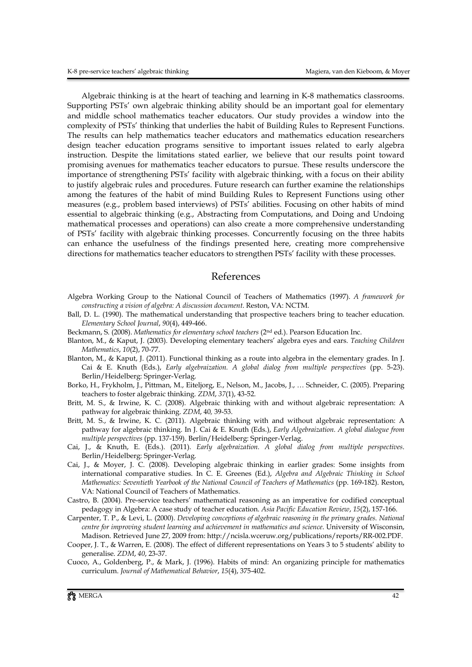Algebraic thinking is at the heart of teaching and learning in K-8 mathematics classrooms. Supporting PSTs' own algebraic thinking ability should be an important goal for elementary and middle school mathematics teacher educators. Our study provides a window into the complexity of PSTs' thinking that underlies the habit of Building Rules to Represent Functions. The results can help mathematics teacher educators and mathematics education researchers design teacher education programs sensitive to important issues related to early algebra instruction. Despite the limitations stated earlier, we believe that our results point toward promising avenues for mathematics teacher educators to pursue. These results underscore the importance of strengthening PSTs' facility with algebraic thinking, with a focus on their ability to justify algebraic rules and procedures. Future research can further examine the relationships among the features of the habit of mind Building Rules to Represent Functions using other measures (e.g., problem based interviews) of PSTs' abilities. Focusing on other habits of mind essential to algebraic thinking (e.g., Abstracting from Computations, and Doing and Undoing mathematical processes and operations) can also create a more comprehensive understanding of PSTs' facility with algebraic thinking processes. Concurrently focusing on the three habits can enhance the usefulness of the findings presented here, creating more comprehensive directions for mathematics teacher educators to strengthen PSTs' facility with these processes.

#### References

- Algebra Working Group to the National Council of Teachers of Mathematics (1997). *A framework for constructing a vision of algebra: A discussion document*. Reston, VA: NCTM.
- Ball, D. L. (1990). The mathematical understanding that prospective teachers bring to teacher education. *Elementary School Journal*, *90*(4), 449-466.
- Beckmann, S. (2008). *Mathematics for elementary school teachers* (2nd ed.). Pearson Education Inc.
- Blanton, M., & Kaput, J. (2003). Developing elementary teachers' algebra eyes and ears. *Teaching Children Mathematics*, *10*(2), 70-77.
- Blanton, M., & Kaput, J. (2011). Functional thinking as a route into algebra in the elementary grades. In J. Cai & E. Knuth (Eds.), *Early algebraization. A global dialog from multiple perspectives* (pp. 5-23). Berlin/Heidelberg: Springer-Verlag.
- Borko, H., Frykholm, J., Pittman, M., Eiteljorg, E., Nelson, M., Jacobs, J., … Schneider, C. (2005). Preparing teachers to foster algebraic thinking. *ZDM*, *37*(1), 43-52.
- Britt, M. S., & Irwine, K. C. (2008). Algebraic thinking with and without algebraic representation: A pathway for algebraic thinking. *ZDM*, 40*,* 39-53.
- Britt, M. S., & Irwine, K. C. (2011). Algebraic thinking with and without algebraic representation: A pathway for algebraic thinking. In J. Cai & E. Knuth (Eds.), *Early Algebraization. A global dialogue from multiple perspectives* (pp. 137-159). Berlin/Heidelberg: Springer-Verlag.
- Cai, J., & Knuth, E. (Eds.). (2011). *Early algebraization. A global dialog from multiple perspectives*. Berlin/Heidelberg: Springer-Verlag.
- Cai, J., & Moyer, J. C. (2008). Developing algebraic thinking in earlier grades: Some insights from international comparative studies. In C. E. Greenes (Ed.), *Algebra and Algebraic Thinking in School Mathematics: Seventieth Yearbook of the National Council of Teachers of Mathematics* (pp. 169-182). Reston, VA: National Council of Teachers of Mathematics.
- Castro, B. (2004). Pre-service teachers' mathematical reasoning as an imperative for codified conceptual pedagogy in Algebra: A case study of teacher education. *Asia Pacific Education Review*, *15*(2), 157-166.
- Carpenter, T. P., & Levi, L. (2000). *Developing conceptions of algebraic reasoning in the primary grades. National centre for improving student learning and achievement in mathematics and science*. University of Wisconsin, Madison. Retrieved June 27, 2009 from: http://ncisla.wceruw.org/publications/reports/RR-002.PDF.
- Cooper, J. T., & Warren, E. (2008). The effect of different representations on Years 3 to 5 students' ability to generalise. *ZDM*, *40*, 23-37.
- Cuoco, A., Goldenberg, P., & Mark, J. (1996). Habits of mind: An organizing principle for mathematics curriculum. *Journal of Mathematical Behavior*, *15*(4), 375-402.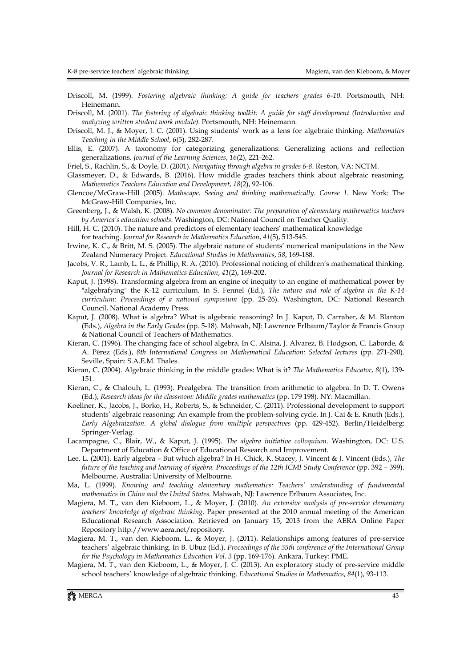Driscoll, M. (1999). *Fostering algebraic thinking: A guide for teachers grades 6-10*. Portsmouth, NH: Heinemann.

Driscoll, M. (2001). *The fostering of algebraic thinking toolkit: A guide for staff development (Introduction and analyzing written student work module)*. Portsmouth, NH: Heinemann.

- Driscoll, M. J., & Moyer, J. C. (2001). Using students' work as a lens for algebraic thinking. *Mathematics Teaching in the Middle School*, *6*(5), 282-287.
- Ellis, E. (2007). A taxonomy for categorizing generalizations: Generalizing actions and reflection generalizations. *Journal of the Learning Sciences*, *16*(2), 221-262.
- Friel, S., Rachlin, S., & Doyle, D. (2001). *Navigating through algebra in grades 6-8*. Reston, VA: NCTM.
- Glassmeyer, D., & Edwards, B. (2016). How middle grades teachers think about algebraic reasoning. *Mathematics Teachers Education and Development*, *18*(2), 92-106.
- Glencoe/McGraw-Hill (2005). *Mathscape. Seeing and thinking mathematically*. *Course 1*. New York: The McGraw-Hill Companies, Inc.
- Greenberg, J., & Walsh, K. (2008). *No common denominator: The preparation of elementary mathematics teachers by America's education schools*. Washington, DC: National Council on Teacher Quality.
- Hill, H. C. (2010). The nature and predictors of elementary teachers' mathematical knowledge

for teaching. *Journal for Research in Mathematics Education*, *41*(5), 513-545.

- Irwine, K. C., & Britt, M. S. (2005). The algebraic nature of students' numerical manipulations in the New Zealand Numeracy Project. *Educational Studies in Mathematics*, *58*, 169-188.
- Jacobs, V. R., Lamb, L. L., & Phillip, R. A. (2010). Professional noticing of children's mathematical thinking. *Journal for Research in Mathematics Education*, *41*(2), 169-202.
- Kaput, J. (1998). Transforming algebra from an engine of inequity to an engine of mathematical power by "algebrafying" the K-12 curriculum. In S. Fennel (Ed.), *The nature and role of algebra in the K-14 curriculum: Proceedings of a national symposium* (pp. 25-26). Washington, DC: National Research Council, National Academy Press.
- Kaput, J. (2008). What is algebra? What is algebraic reasoning? In J. Kaput, D. Carraher, & M. Blanton (Eds.), *Algebra in the Early Grades* (pp. 5-18). Mahwah, NJ: Lawrence Erlbaum/Taylor & Francis Group & National Council of Teachers of Mathematics.
- Kieran, C. (1996). The changing face of school algebra. In C. Alsina, J. Alvarez, B. Hodgson, C. Laborde, & A. Pérez (Eds.), *8th International Congress on Mathematical Education: Selected lectures* (pp. 271-290). Seville, Spain: S.A.E.M. Thales.
- Kieran, C. (2004). Algebraic thinking in the middle grades: What is it? *The Mathematics Educator*, *8*(1), 139- 151.
- Kieran, C., & Chalouh, L. (1993). Prealgebra: The transition from arithmetic to algebra. In D. T. Owens (Ed.), *Research ideas for the classroom: Middle grades mathematics* (pp. 179 198). NY: Macmillan.
- Koellner, K., Jacobs, J., Borko, H., Roberts, S., & Schneider, C. (2011). Professional development to support students' algebraic reasoning: An example from the problem-solving cycle. In J. Cai & E. Knuth (Eds.), *Early Algebraization. A global dialogue from multiple perspectives* (pp. 429-452). Berlin/Heidelberg: Springer-Verlag.
- Lacampagne, C., Blair, W., & Kaput, J. (1995). *The algebra initiative colloquium*. Washington, DC: U.S. Department of Education & Office of Educational Research and Improvement.
- Lee, L. (2001). Early algebra But which algebra? In H. Chick, K. Stacey, J. Vincent & J. Vincent (Eds.), *The future of the teaching and learning of algebra. Proceedings of the 12th ICMI Study Conference* (pp. 392 – 399). Melbourne, Australia: University of Melbourne.
- Ma, L. (1999). *Knowing and teaching elementary mathematics: Teachers' understanding of fundamental mathematics in China and the United States*. Mahwah, NJ: Lawrence Erlbaum Associates, Inc.
- Magiera, M. T., van den Kieboom, L., & Moyer, J. (2010). *An extensive analysis of pre-service elementary teachers' knowledge of algebraic thinking*. Paper presented at the 2010 annual meeting of the American Educational Research Association. Retrieved on January 15, 2013 from the AERA Online Paper Repository http://www.aera.net/repository.
- Magiera, M. T., van den Kieboom, L., & Moyer, J. (2011). Relationships among features of pre-service teachers' algebraic thinking. In B. Ubuz (Ed.), *Proceedings of the 35th conference of the International Group for the Psychology in Mathematics Education Vol. 3* (pp. 169-176). Ankara, Turkey: PME.
- Magiera, M. T., van den Kieboom, L., & Moyer, J. C. (2013). An exploratory study of pre-service middle school teachers' knowledge of algebraic thinking. *Educational Studies in Mathematics*, *84*(1), 93-113.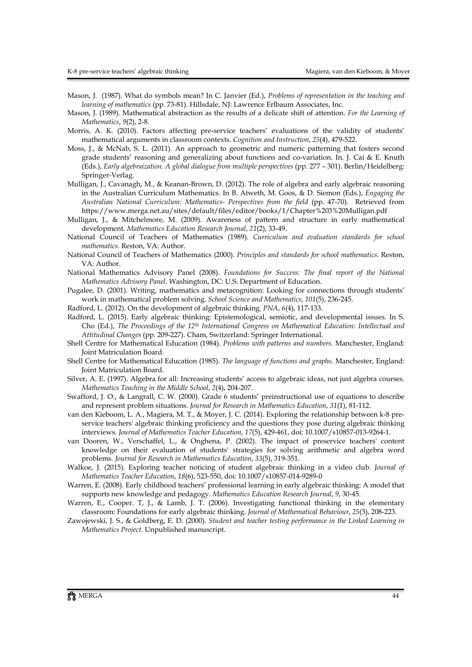- Mason, J. (1987). What do symbols mean? In C. Janvier (Ed.), *Problems of representation in the teaching and learning of mathematics* (pp. 73-81). Hillsdale, NJ: Lawrence Erlbaum Associates, Inc.
- Mason, J. (1989). Mathematical abstraction as the results of a delicate shift of attention. *For the Learning of Mathematics*, *9*(2), 2-8.
- Morris, A. K. (2010). Factors affecting pre-service teachers' evaluations of the validity of students' mathematical arguments in classroom contexts. *Cognition and Instruction*, *25*(4), 479-522.
- Moss, J., & McNab, S. L. (2011). An approach to geometric and numeric patterning that fosters second grade students' reasoning and generalizing about functions and co-variation. In. J. Cai & E. Knuth (Eds.), *Early algebraization. A global dialogue from multiple perspectives* (pp. 277 – 301). Berlin/Heidelberg: Springer-Verlag.
- Mulligan, J., Cavanagh, M., & Keanan-Brown, D. (2012). The role of algebra and early algebraic reasoning in the Australian Curriculum Mathematics. In B. Atweth, M. Goos, & D. Siemon (Eds.), *Engaging the Australian National Curriculum: Mathematics- Perspectives from the field* (pp. 47-70). Retrieved from https://www.merga.net.au/sites/default/files/editor/books/1/Chapter%203%20Mulligan.pdf
- Mulligan, J., & Mitchelmore, M. (2009). Awareness of pattern and structure in early mathematical development. *Mathematics Education Research Journal*, *21*(2), 33-49.
- National Council of Teachers of Mathematics (1989). *Curriculum and evaluation standards for school mathematics*. Reston, VA: Author.
- National Council of Teachers of Mathematics (2000). *Principles and standards for school mathematics*. Reston, VA: Author.
- National Mathematics Advisory Panel (2008). *Foundations for Success: The final report of the National Mathematics Advisory Panel*. Washington, DC: U.S. Department of Education.
- Pugalee, D. (2001). Writing, mathematics and metacognition: Looking for connections through students' work in mathematical problem solving. *School Science and Mathematics*, *101*(5), 236-245.
- Radford, L. (2012). On the development of algebraic thinking. *PNA*, *6*(4), 117-133.
- Radford, L. (2015). Early algebraic thinking: Epistemological, semiotic, and developmental issues. In S. Cho (Ed.), *The Proceedings of the 12th International Congress on Mathematical Education: Intellectual and Attitudinal Changes* (pp. 209-227). Cham, Switzerland: Springer International.
- Shell Centre for Mathematical Education (1984). *Problems with patterns and numbers*. Manchester, England: Joint Matriculation Board.
- Shell Centre for Mathematical Education (1985). *The language of functions and graphs*. Manchester, England: Joint Matriculation Board.
- Silver, A. E. (1997). Algebra for all: Increasing students' access to algebraic ideas, not just algebra courses. *Mathematics Teaching in the Middle School*, *2*(4), 204-207.
- Swafford, J. O., & Langrall, C. W. (2000). Grade 6 students' preinstructional use of equations to describe and represent problem situations. *Journal for Research in Mathematics Education*, *31*(1), 81-112.
- van den Kieboom, L. A., Magiera, M. T., & Moyer, J. C. (2014). Exploring the relationship between k-8 preservice teachers' algebraic thinking proficiency and the questions they pose during algebraic thinking interviews. *Journal of Mathematics Teacher Education*, *17*(5), 429-461, doi: 10.1007/s10857-013-9264-1.
- van Dooren, W., Verschaffel, L., & Onghena, P. (2002). The impact of preservice teachers' content knowledge on their evaluation of students' strategies for solving arithmetic and algebra word problems. *Journal for Research in Mathematics Education*, *33*(5), 319-351.
- Walkoe, J. (2015). Exploring teacher noticing of student algebraic thinking in a video club. *Journal of Mathematics Teacher Education*, *18*(6), 523-550, doi: 10.1007/s10857-014-9289-0
- Warren, E. (2008). Early childhood teachers' professional learning in early algebraic thinking: A model that supports new knowledge and pedagogy. *Mathematics Education Research Journal*, *9*, 30-45.
- Warren, E., Cooper. T, J., & Lamb, J. T. (2006). Investigating functional thinking in the elementary classroom: Foundations for early algebraic thinking. *Journal of Mathematical Behaviour*, *25*(3), 208-223.
- Zawojewski, J. S., & Goldberg, E. D. (2000). *Student and teacher testing performance in the Linked Learning in Mathematics Project*. Unpublished manuscript.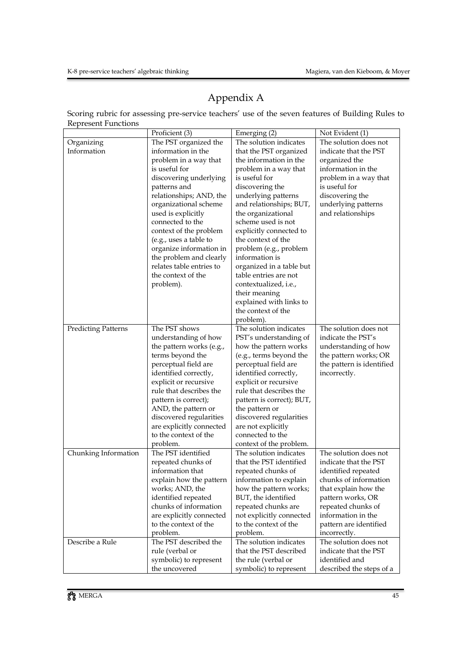# Appendix A

Scoring rubric for assessing pre-service teachers' use of the seven features of Building Rules to Represent Functions

|                            | Proficient (3)                                    | Emerging (2)                                      | Not Evident (1)                          |
|----------------------------|---------------------------------------------------|---------------------------------------------------|------------------------------------------|
| Organizing                 | The PST organized the                             | The solution indicates                            | The solution does not                    |
| Information                | information in the                                | that the PST organized                            | indicate that the PST                    |
|                            | problem in a way that                             | the information in the                            | organized the                            |
|                            | is useful for                                     | problem in a way that                             | information in the                       |
|                            | discovering underlying                            | is useful for                                     | problem in a way that                    |
|                            | patterns and                                      | discovering the                                   | is useful for                            |
|                            | relationships; AND, the                           | underlying patterns                               | discovering the                          |
|                            | organizational scheme                             | and relationships; BUT,                           | underlying patterns                      |
|                            | used is explicitly                                | the organizational                                | and relationships                        |
|                            | connected to the                                  | scheme used is not                                |                                          |
|                            | context of the problem                            | explicitly connected to                           |                                          |
|                            | (e.g., uses a table to                            | the context of the                                |                                          |
|                            | organize information in                           | problem (e.g., problem                            |                                          |
|                            | the problem and clearly                           | information is                                    |                                          |
|                            | relates table entries to                          | organized in a table but                          |                                          |
|                            | the context of the                                | table entries are not                             |                                          |
|                            | problem).                                         | contextualized, <i>i.e.</i> ,                     |                                          |
|                            |                                                   | their meaning                                     |                                          |
|                            |                                                   | explained with links to                           |                                          |
|                            |                                                   | the context of the                                |                                          |
|                            |                                                   | problem).                                         |                                          |
| <b>Predicting Patterns</b> | The PST shows                                     | The solution indicates                            | The solution does not                    |
|                            | understanding of how                              | PST's understanding of                            | indicate the PST's                       |
|                            | the pattern works (e.g.,                          | how the pattern works                             | understanding of how                     |
|                            | terms beyond the                                  | (e.g., terms beyond the                           | the pattern works; OR                    |
|                            | perceptual field are                              | perceptual field are                              | the pattern is identified                |
|                            | identified correctly,                             | identified correctly,                             | incorrectly.                             |
|                            | explicit or recursive                             | explicit or recursive                             |                                          |
|                            | rule that describes the                           | rule that describes the                           |                                          |
|                            | pattern is correct);                              | pattern is correct); BUT,                         |                                          |
|                            | AND, the pattern or                               | the pattern or                                    |                                          |
|                            | discovered regularities                           | discovered regularities                           |                                          |
|                            | are explicitly connected                          | are not explicitly                                |                                          |
|                            | to the context of the                             | connected to the                                  |                                          |
|                            | problem.                                          | context of the problem.                           |                                          |
| Chunking Information       | The PST identified                                | The solution indicates                            | The solution does not                    |
|                            | repeated chunks of                                | that the PST identified                           | indicate that the PST                    |
|                            | information that                                  | repeated chunks of                                | identified repeated                      |
|                            | explain how the pattern                           | information to explain                            | chunks of information                    |
|                            | works; AND, the                                   | how the pattern works;                            | that explain how the                     |
|                            | identified repeated<br>chunks of information      | BUT, the identified                               | pattern works, OR                        |
|                            |                                                   | repeated chunks are                               | repeated chunks of<br>information in the |
|                            | are explicitly connected<br>to the context of the | not explicitly connected<br>to the context of the | pattern are identified                   |
|                            | problem.                                          | problem.                                          | incorrectly.                             |
| Describe a Rule            | The PST described the                             | The solution indicates                            | The solution does not                    |
|                            | rule (verbal or                                   | that the PST described                            | indicate that the PST                    |
|                            |                                                   | the rule (verbal or                               | identified and                           |
|                            | symbolic) to represent<br>the uncovered           | symbolic) to represent                            | described the steps of a                 |
|                            |                                                   |                                                   |                                          |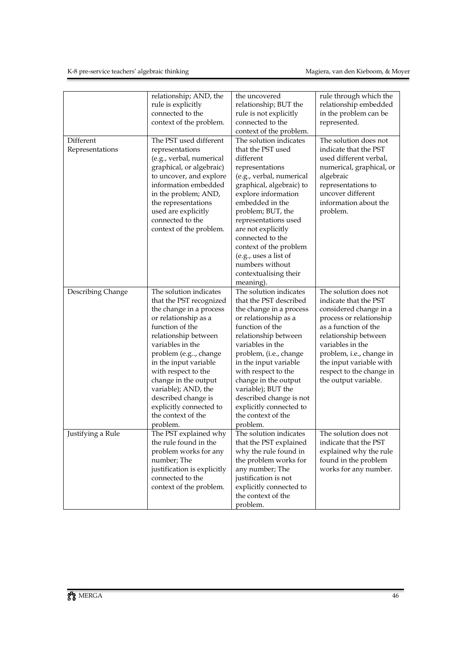|                              | relationship; AND, the<br>rule is explicitly<br>connected to the<br>context of the problem.                                                                                                                                                                                                                                                                                    | the uncovered<br>relationship; BUT the<br>rule is not explicitly<br>connected to the<br>context of the problem.                                                                                                                                                                                                                                                                    | rule through which the<br>relationship embedded<br>in the problem can be<br>represented.                                                                                                                                                                                           |
|------------------------------|--------------------------------------------------------------------------------------------------------------------------------------------------------------------------------------------------------------------------------------------------------------------------------------------------------------------------------------------------------------------------------|------------------------------------------------------------------------------------------------------------------------------------------------------------------------------------------------------------------------------------------------------------------------------------------------------------------------------------------------------------------------------------|------------------------------------------------------------------------------------------------------------------------------------------------------------------------------------------------------------------------------------------------------------------------------------|
| Different<br>Representations | The PST used different<br>representations<br>(e.g., verbal, numerical<br>graphical, or algebraic)<br>to uncover, and explore<br>information embedded<br>in the problem; AND,<br>the representations<br>used are explicitly<br>connected to the<br>context of the problem.                                                                                                      | The solution indicates<br>that the PST used<br>different<br>representations<br>(e.g., verbal, numerical<br>graphical, algebraic) to<br>explore information<br>embedded in the<br>problem; BUT, the<br>representations used<br>are not explicitly<br>connected to the<br>context of the problem<br>(e.g., uses a list of<br>numbers without<br>contextualising their<br>meaning).   | The solution does not<br>indicate that the PST<br>used different verbal,<br>numerical, graphical, or<br>algebraic<br>representations to<br>uncover different<br>information about the<br>problem.                                                                                  |
| Describing Change            | The solution indicates<br>that the PST recognized<br>the change in a process<br>or relationship as a<br>function of the<br>relationship between<br>variables in the<br>problem (e.g, change<br>in the input variable<br>with respect to the<br>change in the output<br>variable); AND, the<br>described change is<br>explicitly connected to<br>the context of the<br>problem. | The solution indicates<br>that the PST described<br>the change in a process<br>or relationship as a<br>function of the<br>relationship between<br>variables in the<br>problem, (i.e., change<br>in the input variable<br>with respect to the<br>change in the output<br>variable); BUT the<br>described change is not<br>explicitly connected to<br>the context of the<br>problem. | The solution does not<br>indicate that the PST<br>considered change in a<br>process or relationship<br>as a function of the<br>relationship between<br>variables in the<br>problem, i.e., change in<br>the input variable with<br>respect to the change in<br>the output variable. |
| Justifying a Rule            | The PST explained why<br>the rule found in the<br>problem works for any<br>number; The<br>justification is explicitly<br>connected to the<br>context of the problem.                                                                                                                                                                                                           | The solution indicates<br>that the PST explained<br>why the rule found in<br>the problem works for<br>any number; The<br>justification is not<br>explicitly connected to<br>the context of the<br>problem.                                                                                                                                                                         | The solution does not<br>indicate that the PST<br>explained why the rule<br>found in the problem<br>works for any number.                                                                                                                                                          |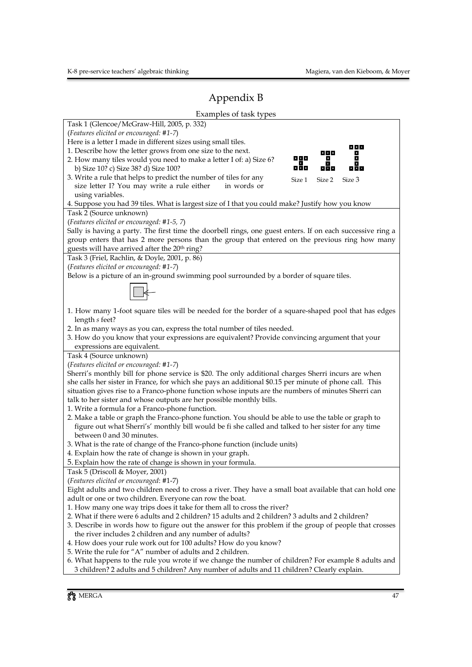# Appendix B

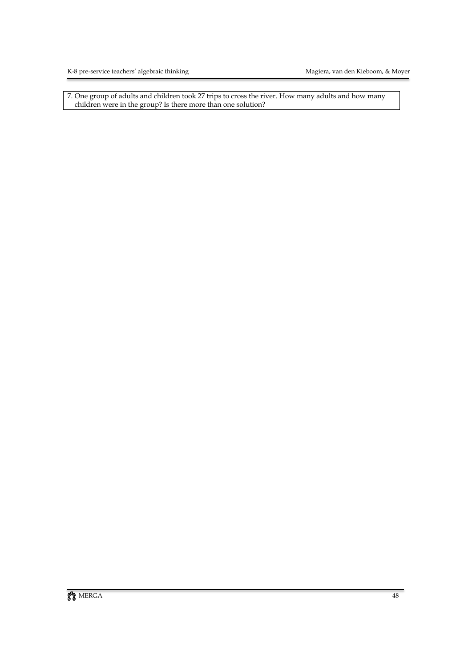7. One group of adults and children took 27 trips to cross the river. How many adults and how many children were in the group? Is there more than one solution?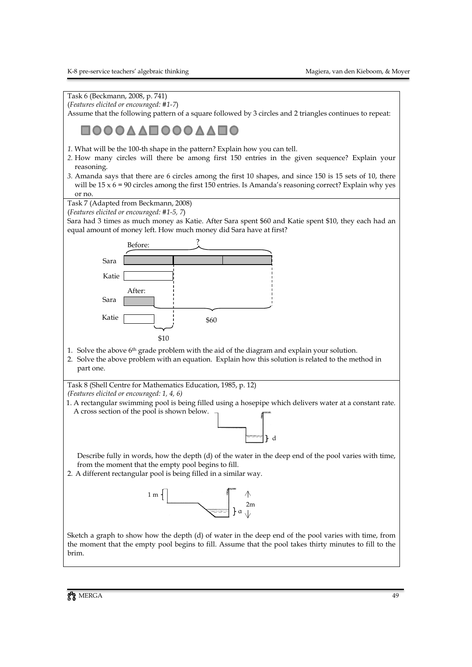Task 6 (Beckmann, 2008, p. 741) (*Features elicited or encouraged: #1-7*)

Assume that the following pattern of a square followed by 3 circles and 2 triangles continues to repeat:

# **DOOAAEOOOAAEO**

- *1.* What will be the 100-th shape in the pattern? Explain how you can tell.
- *2.* How many circles will there be among first 150 entries in the given sequence? Explain your reasoning.
- *3.* Amanda says that there are 6 circles among the first 10 shapes, and since 150 is 15 sets of 10, there will be  $15 \times 6 = 90$  circles among the first 150 entries. Is Amanda's reasoning correct? Explain why yes or no.

Task 7 (Adapted from Beckmann, 2008)

(*Features elicited or encouraged: #1-5, 7*)

Sara had 3 times as much money as Katie. After Sara spent \$60 and Katie spent \$10, they each had an equal amount of money left. How much money did Sara have at first?



- 1. Solve the above 6th grade problem with the aid of the diagram and explain your solution.
- 2. Solve the above problem with an equation. Explain how this solution is related to the method in part one.

Task 8 (Shell Centre for Mathematics Education, 1985, p. 12)

- *(Features elicited or encouraged: 1, 4, 6)*
- 1. A rectangular swimming pool is being filled using a hosepipe which delivers water at a constant rate. A cross section of the pool is shown below.



Describe fully in words, how the depth (d) of the water in the deep end of the pool varies with time, from the moment that the empty pool begins to fill.

2. A different rectangular pool is being filled in a similar way.



Sketch a graph to show how the depth (d) of water in the deep end of the pool varies with time, from the moment that the empty pool begins to fill. Assume that the pool takes thirty minutes to fill to the brim.